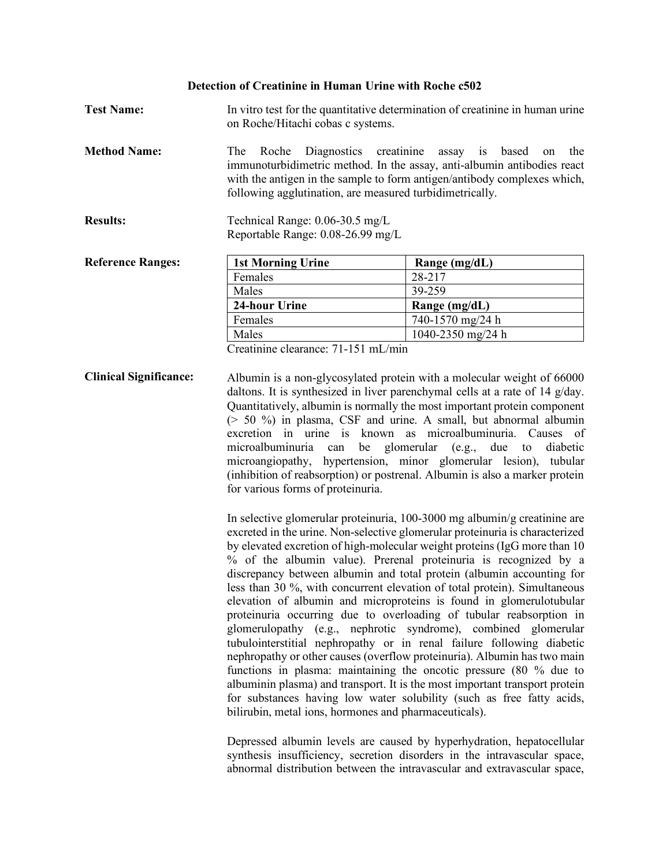#### **Detection of Creatinine in Human Urine with Roche c502**

- **Test Name:** In vitro test for the quantitative determination of creatinine in human urine on Roche/Hitachi cobas c systems.
- **Method Name:** The Roche Diagnostics creatinine assay is based on the immunoturbidimetric method. In the assay, anti-albumin antibodies react with the antigen in the sample to form antigen/antibody complexes which, following agglutination, are measured turbidimetrically.
- **Results:** Technical Range: 0.06-30.5 mg/L Reportable Range: 0.08-26.99 mg/L

| <b>Reference Ranges:</b> | <b>1st Morning Urine</b> | Range $(mg/dL)$   |
|--------------------------|--------------------------|-------------------|
|                          | Females                  | 28-217            |
|                          | Males                    | 39-259            |
|                          | 24-hour Urine            | Range $(mg/dL)$   |
|                          | Females                  | 740-1570 mg/24 h  |
|                          | Males                    | 1040-2350 mg/24 h |

Creatinine clearance: 71-151 mL/min

**Clinical Significance:** Albumin is a non-glycosylated protein with a molecular weight of 66000 daltons. It is synthesized in liver parenchymal cells at a rate of 14 g/day. Quantitatively, albumin is normally the most important protein component (> 50 %) in plasma, CSF and urine. A small, but abnormal albumin excretion in urine is known as microalbuminuria. Causes of microalbuminuria can be glomerular (e.g., due to diabetic microangiopathy, hypertension, minor glomerular lesion), tubular (inhibition of reabsorption) or postrenal. Albumin is also a marker protein for various forms of proteinuria.

> In selective glomerular proteinuria, 100-3000 mg albumin/g creatinine are excreted in the urine. Non-selective glomerular proteinuria is characterized by elevated excretion of high-molecular weight proteins (IgG more than 10 % of the albumin value). Prerenal proteinuria is recognized by a discrepancy between albumin and total protein (albumin accounting for less than 30 %, with concurrent elevation of total protein). Simultaneous elevation of albumin and microproteins is found in glomerulotubular proteinuria occurring due to overloading of tubular reabsorption in glomerulopathy (e.g., nephrotic syndrome), combined glomerular tubulointerstitial nephropathy or in renal failure following diabetic nephropathy or other causes (overflow proteinuria). Albumin has two main functions in plasma: maintaining the oncotic pressure (80 % due to albuminin plasma) and transport. It is the most important transport protein for substances having low water solubility (such as free fatty acids, bilirubin, metal ions, hormones and pharmaceuticals).

> Depressed albumin levels are caused by hyperhydration, hepatocellular synthesis insufficiency, secretion disorders in the intravascular space, abnormal distribution between the intravascular and extravascular space,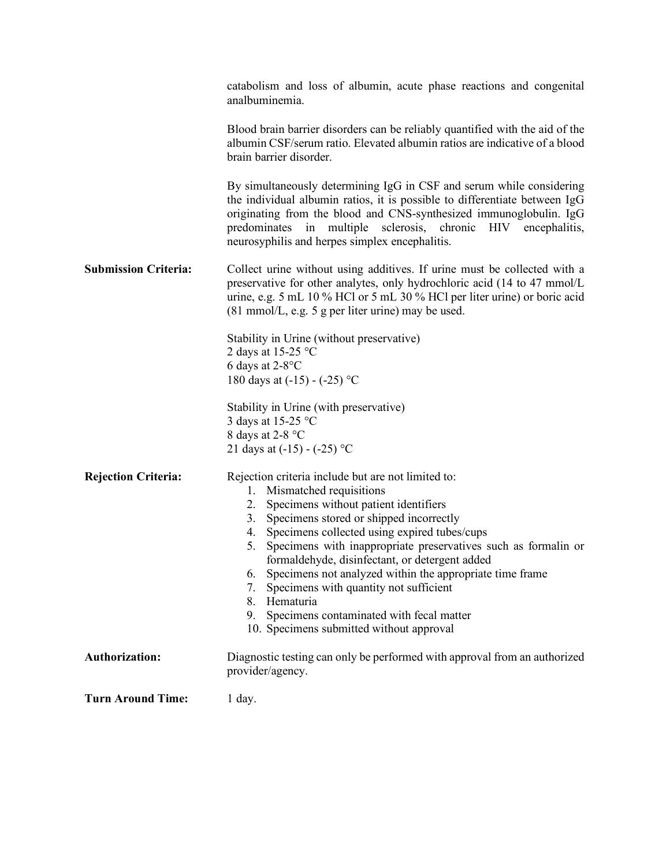|                             | catabolism and loss of albumin, acute phase reactions and congenital<br>analbuminemia.                                                                                                                                                                                                                                                                                                                                                                                                                                                                                                     |
|-----------------------------|--------------------------------------------------------------------------------------------------------------------------------------------------------------------------------------------------------------------------------------------------------------------------------------------------------------------------------------------------------------------------------------------------------------------------------------------------------------------------------------------------------------------------------------------------------------------------------------------|
|                             | Blood brain barrier disorders can be reliably quantified with the aid of the<br>albumin CSF/serum ratio. Elevated albumin ratios are indicative of a blood<br>brain barrier disorder.                                                                                                                                                                                                                                                                                                                                                                                                      |
|                             | By simultaneously determining IgG in CSF and serum while considering<br>the individual albumin ratios, it is possible to differentiate between IgG<br>originating from the blood and CNS-synthesized immunoglobulin. IgG<br>predominates in multiple sclerosis, chronic HIV encephalitis,<br>neurosyphilis and herpes simplex encephalitis.                                                                                                                                                                                                                                                |
| <b>Submission Criteria:</b> | Collect urine without using additives. If urine must be collected with a<br>preservative for other analytes, only hydrochloric acid (14 to 47 mmol/L<br>urine, e.g. 5 mL 10 % HCl or 5 mL 30 % HCl per liter urine) or boric acid<br>$(81 \text{ mmol/L}, e.g. 5 \text{ g per liter urine})$ may be used.                                                                                                                                                                                                                                                                                  |
|                             | Stability in Urine (without preservative)<br>2 days at 15-25 $^{\circ}$ C<br>6 days at $2-8$ °C<br>180 days at $(-15) - (-25)$ °C                                                                                                                                                                                                                                                                                                                                                                                                                                                          |
|                             | Stability in Urine (with preservative)<br>3 days at 15-25 °C<br>8 days at 2-8 °C<br>21 days at $(-15) - (-25)$ °C                                                                                                                                                                                                                                                                                                                                                                                                                                                                          |
| <b>Rejection Criteria:</b>  | Rejection criteria include but are not limited to:<br>1. Mismatched requisitions<br>2. Specimens without patient identifiers<br>3. Specimens stored or shipped incorrectly<br>4. Specimens collected using expired tubes/cups<br>Specimens with inappropriate preservatives such as formalin or<br>5.<br>formaldehyde, disinfectant, or detergent added<br>Specimens not analyzed within the appropriate time frame<br>6.<br>Specimens with quantity not sufficient<br>7.<br>Hematuria<br>8.<br>Specimens contaminated with fecal matter<br>9.<br>10. Specimens submitted without approval |
| <b>Authorization:</b>       | Diagnostic testing can only be performed with approval from an authorized<br>provider/agency.                                                                                                                                                                                                                                                                                                                                                                                                                                                                                              |
| <b>Turn Around Time:</b>    | $1$ day.                                                                                                                                                                                                                                                                                                                                                                                                                                                                                                                                                                                   |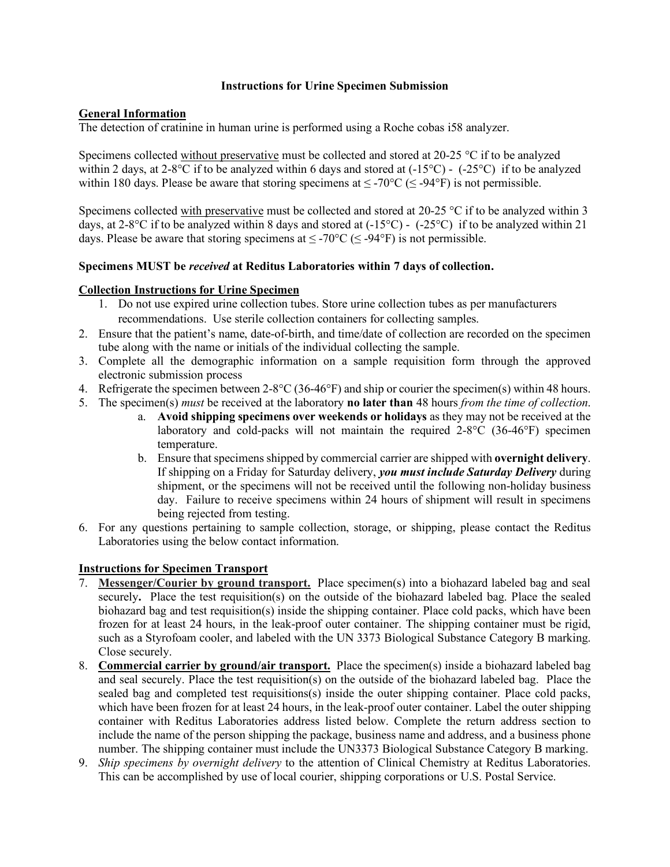#### **Instructions for Urine Specimen Submission**

## **General Information**

The detection of cratinine in human urine is performed using a Roche cobas i58 analyzer.

Specimens collected without preservative must be collected and stored at 20-25  $\degree$ C if to be analyzed within 2 days, at 2-8°C if to be analyzed within 6 days and stored at (-15°C) - (-25°C) if to be analyzed within 180 days. Please be aware that storing specimens at  $\leq$  -70°C ( $\leq$  -94°F) is not permissible.

Specimens collected with preservative must be collected and stored at 20-25 °C if to be analyzed within 3 days, at 2-8°C if to be analyzed within 8 days and stored at  $(-15^{\circ}C)$  -  $(-25^{\circ}C)$  if to be analyzed within 21 days. Please be aware that storing specimens at  $\leq$  -70°C ( $\leq$  -94°F) is not permissible.

### **Specimens MUST be** *received* **at Reditus Laboratories within 7 days of collection.**

### **Collection Instructions for Urine Specimen**

- 1. Do not use expired urine collection tubes. Store urine collection tubes as per manufacturers recommendations. Use sterile collection containers for collecting samples.
- 2. Ensure that the patient's name, date-of-birth, and time/date of collection are recorded on the specimen tube along with the name or initials of the individual collecting the sample.
- 3. Complete all the demographic information on a sample requisition form through the approved electronic submission process
- 4. Refrigerate the specimen between 2-8°C (36-46°F) and ship or courier the specimen(s) within 48 hours.
- 5. The specimen(s) *must* be received at the laboratory **no later than** 48 hours *from the time of collection*.
	- a. **Avoid shipping specimens over weekends or holidays** as they may not be received at the laboratory and cold-packs will not maintain the required 2-8°C (36-46°F) specimen temperature.
	- b. Ensure that specimens shipped by commercial carrier are shipped with **overnight delivery**. If shipping on a Friday for Saturday delivery, *you must include Saturday Delivery* during shipment, or the specimens will not be received until the following non-holiday business day. Failure to receive specimens within 24 hours of shipment will result in specimens being rejected from testing.
- 6. For any questions pertaining to sample collection, storage, or shipping, please contact the Reditus Laboratories using the below contact information.

# **Instructions for Specimen Transport**

- 7. **Messenger/Courier by ground transport.** Place specimen(s) into a biohazard labeled bag and seal securely**.** Place the test requisition(s) on the outside of the biohazard labeled bag. Place the sealed biohazard bag and test requisition(s) inside the shipping container. Place cold packs, which have been frozen for at least 24 hours, in the leak-proof outer container. The shipping container must be rigid, such as a Styrofoam cooler, and labeled with the UN 3373 Biological Substance Category B marking. Close securely.
- 8. **Commercial carrier by ground/air transport.** Place the specimen(s) inside a biohazard labeled bag and seal securely. Place the test requisition(s) on the outside of the biohazard labeled bag. Place the sealed bag and completed test requisitions(s) inside the outer shipping container. Place cold packs, which have been frozen for at least 24 hours, in the leak-proof outer container. Label the outer shipping container with Reditus Laboratories address listed below. Complete the return address section to include the name of the person shipping the package, business name and address, and a business phone number. The shipping container must include the UN3373 Biological Substance Category B marking.
- 9. *Ship specimens by overnight delivery* to the attention of Clinical Chemistry at Reditus Laboratories. This can be accomplished by use of local courier, shipping corporations or U.S. Postal Service.